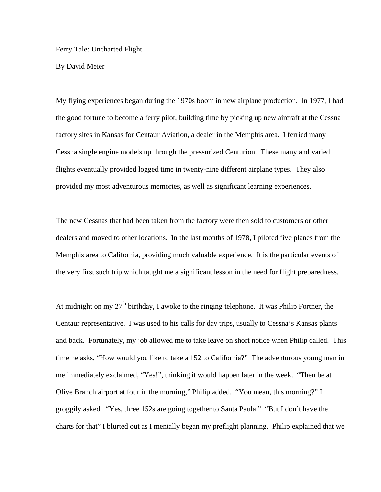Ferry Tale: Uncharted Flight

By David Meier

My flying experiences began during the 1970s boom in new airplane production. In 1977, I had the good fortune to become a ferry pilot, building time by picking up new aircraft at the Cessna factory sites in Kansas for Centaur Aviation, a dealer in the Memphis area. I ferried many Cessna single engine models up through the pressurized Centurion. These many and varied flights eventually provided logged time in twenty-nine different airplane types. They also provided my most adventurous memories, as well as significant learning experiences.

The new Cessnas that had been taken from the factory were then sold to customers or other dealers and moved to other locations. In the last months of 1978, I piloted five planes from the Memphis area to California, providing much valuable experience. It is the particular events of the very first such trip which taught me a significant lesson in the need for flight preparedness.

At midnight on my  $27<sup>th</sup>$  birthday, I awoke to the ringing telephone. It was Philip Fortner, the Centaur representative. I was used to his calls for day trips, usually to Cessna's Kansas plants and back. Fortunately, my job allowed me to take leave on short notice when Philip called. This time he asks, "How would you like to take a 152 to California?" The adventurous young man in me immediately exclaimed, "Yes!", thinking it would happen later in the week. "Then be at Olive Branch airport at four in the morning," Philip added. "You mean, this morning?" I groggily asked. "Yes, three 152s are going together to Santa Paula." "But I don't have the charts for that" I blurted out as I mentally began my preflight planning. Philip explained that we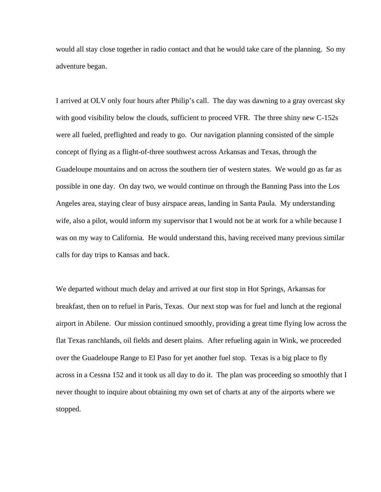would all stay close together in radio contact and that he would take care of the planning. So my adventure began.

I arrived at OLV only four hours after Philip's call. The day was dawning to a gray overcast sky with good visibility below the clouds, sufficient to proceed VFR. The three shiny new C-152s were all fueled, preflighted and ready to go. Our navigation planning consisted of the simple concept of flying as a flight-of-three southwest across Arkansas and Texas, through the Guadeloupe mountains and on across the southern tier of western states. We would go as far as possible in one day. On day two, we would continue on through the Banning Pass into the Los Angeles area, staying clear of busy airspace areas, landing in Santa Paula. My understanding wife, also a pilot, would inform my supervisor that I would not be at work for a while because I was on my way to California. He would understand this, having received many previous similar calls for day trips to Kansas and back.

We departed without much delay and arrived at our first stop in Hot Springs, Arkansas for breakfast, then on to refuel in Paris, Texas. Our next stop was for fuel and lunch at the regional airport in Abilene. Our mission continued smoothly, providing a great time flying low across the flat Texas ranchlands, oil fields and desert plains. After refueling again in Wink, we proceeded over the Guadeloupe Range to El Paso for yet another fuel stop. Texas is a big place to fly across in a Cessna 152 and it took us all day to do it. The plan was proceeding so smoothly that I never thought to inquire about obtaining my own set of charts at any of the airports where we stopped.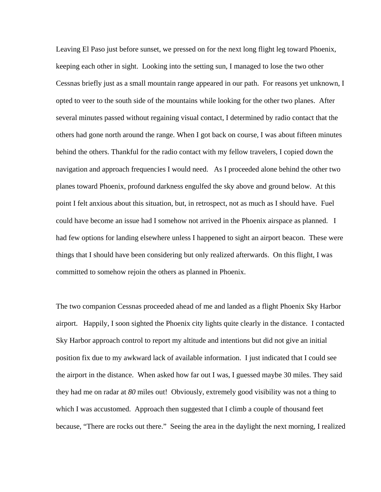Leaving El Paso just before sunset, we pressed on for the next long flight leg toward Phoenix, keeping each other in sight. Looking into the setting sun, I managed to lose the two other Cessnas briefly just as a small mountain range appeared in our path. For reasons yet unknown, I opted to veer to the south side of the mountains while looking for the other two planes. After several minutes passed without regaining visual contact, I determined by radio contact that the others had gone north around the range. When I got back on course, I was about fifteen minutes behind the others. Thankful for the radio contact with my fellow travelers, I copied down the navigation and approach frequencies I would need. As I proceeded alone behind the other two planes toward Phoenix, profound darkness engulfed the sky above and ground below. At this point I felt anxious about this situation, but, in retrospect, not as much as I should have. Fuel could have become an issue had I somehow not arrived in the Phoenix airspace as planned. I had few options for landing elsewhere unless I happened to sight an airport beacon. These were things that I should have been considering but only realized afterwards. On this flight, I was committed to somehow rejoin the others as planned in Phoenix.

The two companion Cessnas proceeded ahead of me and landed as a flight Phoenix Sky Harbor airport. Happily, I soon sighted the Phoenix city lights quite clearly in the distance. I contacted Sky Harbor approach control to report my altitude and intentions but did not give an initial position fix due to my awkward lack of available information. I just indicated that I could see the airport in the distance. When asked how far out I was, I guessed maybe 30 miles. They said they had me on radar at *80* miles out! Obviously, extremely good visibility was not a thing to which I was accustomed. Approach then suggested that I climb a couple of thousand feet because, "There are rocks out there." Seeing the area in the daylight the next morning, I realized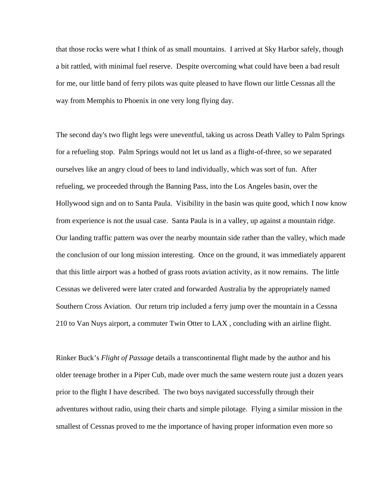that those rocks were what I think of as small mountains. I arrived at Sky Harbor safely, though a bit rattled, with minimal fuel reserve. Despite overcoming what could have been a bad result for me, our little band of ferry pilots was quite pleased to have flown our little Cessnas all the way from Memphis to Phoenix in one very long flying day.

The second day's two flight legs were uneventful, taking us across Death Valley to Palm Springs for a refueling stop. Palm Springs would not let us land as a flight-of-three, so we separated ourselves like an angry cloud of bees to land individually, which was sort of fun. After refueling, we proceeded through the Banning Pass, into the Los Angeles basin, over the Hollywood sign and on to Santa Paula. Visibility in the basin was quite good, which I now know from experience is not the usual case. Santa Paula is in a valley, up against a mountain ridge. Our landing traffic pattern was over the nearby mountain side rather than the valley, which made the conclusion of our long mission interesting. Once on the ground, it was immediately apparent that this little airport was a hotbed of grass roots aviation activity, as it now remains. The little Cessnas we delivered were later crated and forwarded Australia by the appropriately named Southern Cross Aviation. Our return trip included a ferry jump over the mountain in a Cessna 210 to Van Nuys airport, a commuter Twin Otter to LAX , concluding with an airline flight.

Rinker Buck's *Flight of Passage* details a transcontinental flight made by the author and his older teenage brother in a Piper Cub, made over much the same western route just a dozen years prior to the flight I have described. The two boys navigated successfully through their adventures without radio, using their charts and simple pilotage. Flying a similar mission in the smallest of Cessnas proved to me the importance of having proper information even more so